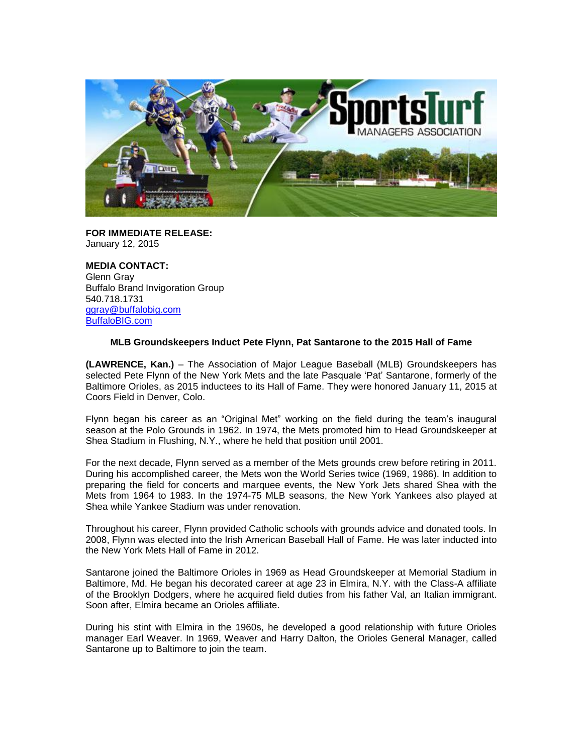

**FOR IMMEDIATE RELEASE:** January 12, 2015

**MEDIA CONTACT:** Glenn Gray Buffalo Brand Invigoration Group 540.718.1731 [ggray@buffalobig.com](mailto:ggray@buffalobig.com) [BuffaloBIG.com](http://www.buffalobig.com/)

## **MLB Groundskeepers Induct Pete Flynn, Pat Santarone to the 2015 Hall of Fame**

**(LAWRENCE, Kan.)** – The Association of Major League Baseball (MLB) Groundskeepers has selected Pete Flynn of the New York Mets and the late Pasquale 'Pat' Santarone, formerly of the Baltimore Orioles, as 2015 inductees to its Hall of Fame. They were honored January 11, 2015 at Coors Field in Denver, Colo.

Flynn began his career as an "Original Met" working on the field during the team's inaugural season at the Polo Grounds in 1962. In 1974, the Mets promoted him to Head Groundskeeper at Shea Stadium in Flushing, N.Y., where he held that position until 2001.

For the next decade, Flynn served as a member of the Mets grounds crew before retiring in 2011. During his accomplished career, the Mets won the World Series twice (1969, 1986). In addition to preparing the field for concerts and marquee events, the New York Jets shared Shea with the Mets from 1964 to 1983. In the 1974-75 MLB seasons, the New York Yankees also played at Shea while Yankee Stadium was under renovation.

Throughout his career, Flynn provided Catholic schools with grounds advice and donated tools. In 2008, Flynn was elected into the Irish American Baseball Hall of Fame. He was later inducted into the New York Mets Hall of Fame in 2012.

Santarone joined the Baltimore Orioles in 1969 as Head Groundskeeper at Memorial Stadium in Baltimore, Md. He began his decorated career at age 23 in Elmira, N.Y. with the Class-A affiliate of the Brooklyn Dodgers, where he acquired field duties from his father Val, an Italian immigrant. Soon after, Elmira became an Orioles affiliate.

During his stint with Elmira in the 1960s, he developed a good relationship with future Orioles manager Earl Weaver. In 1969, Weaver and Harry Dalton, the Orioles General Manager, called Santarone up to Baltimore to join the team.